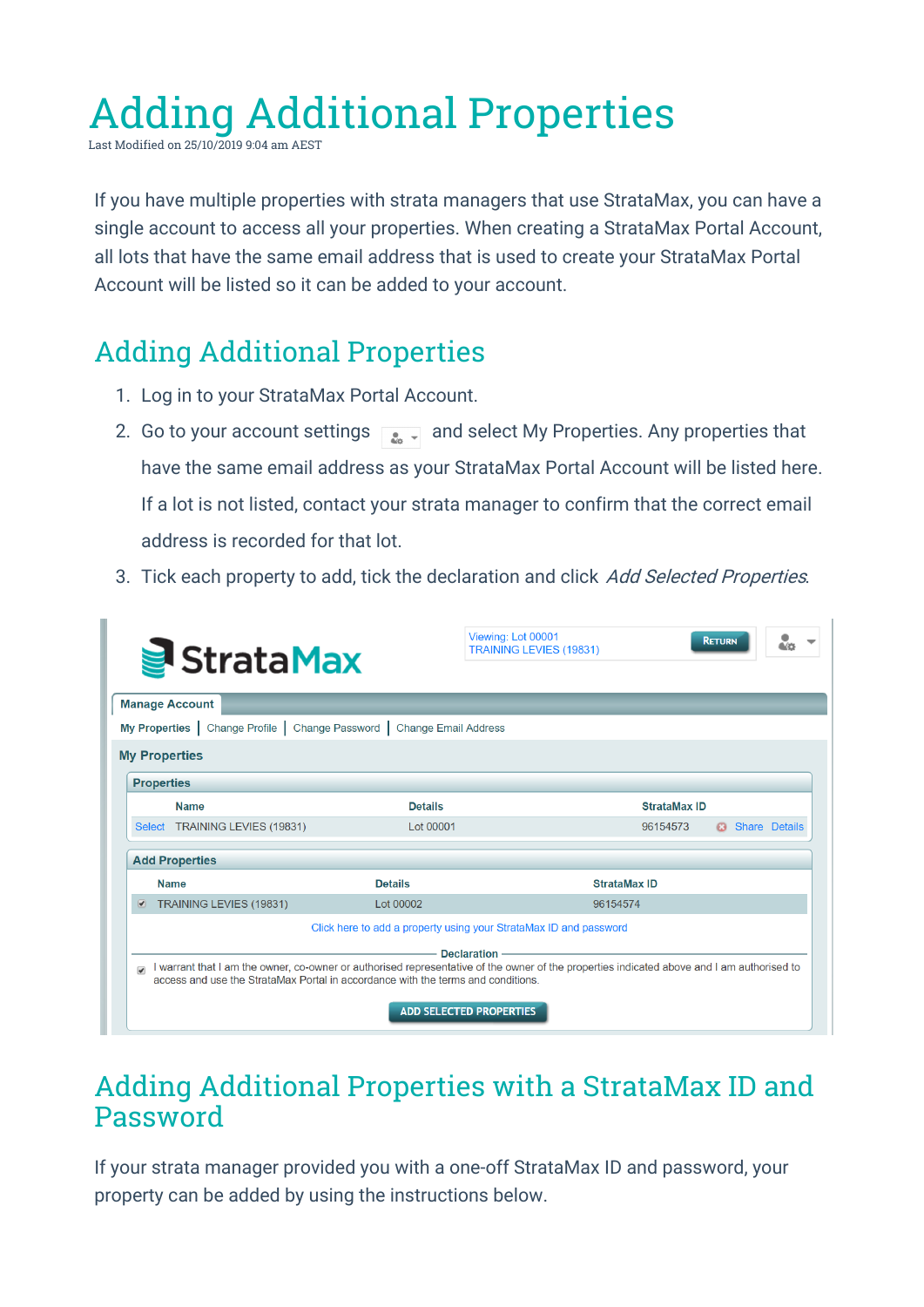## Adding Additional Properties

Last Modified on 25/10/2019 9:04 am AEST

If you have multiple properties with strata managers that use StrataMax, you can have a single account to access all your properties. When creating a StrataMax Portal Account, all lots that have the same email address that is used to create your StrataMax Portal Account will be listed so it can be added to your account.

## Adding Additional Properties

- 1. Log in to your StrataMax Portal Account.
- 2. Go to your account settings  $\sqrt{2}$  and select My Properties. Any properties that have the same email address as your StrataMax Portal Account will be listed here. If a lot is not listed, contact your strata manager to confirm that the correct email address is recorded for that lot.
- 3. Tick each property to add, tick the declaration and click Add Selected Properties.

| StrataMax                                                                                                    | Viewing: Lot 00001<br><b>TRAINING LEVIES (19831)</b>                                    | <b>RETURN</b>                                                                                                                              |
|--------------------------------------------------------------------------------------------------------------|-----------------------------------------------------------------------------------------|--------------------------------------------------------------------------------------------------------------------------------------------|
| <b>Manage Account</b>                                                                                        |                                                                                         |                                                                                                                                            |
| My Properties   Change Profile   Change Password   Change Email Address                                      |                                                                                         |                                                                                                                                            |
| <b>My Properties</b>                                                                                         |                                                                                         |                                                                                                                                            |
| <b>Properties</b>                                                                                            |                                                                                         |                                                                                                                                            |
| <b>Name</b>                                                                                                  | <b>Details</b>                                                                          | <b>StrataMax ID</b>                                                                                                                        |
| Select TRAINING LEVIES (19831)                                                                               | Lot 00001                                                                               | 96154573<br><b>Share Details</b><br>£3                                                                                                     |
| <b>Add Properties</b>                                                                                        |                                                                                         |                                                                                                                                            |
| <b>Name</b>                                                                                                  | <b>Details</b>                                                                          | <b>StrataMax ID</b>                                                                                                                        |
| TRAINING LEVIES (19831)<br>$\left  \mathbf{v} \right $                                                       | Lot 00002                                                                               | 96154574                                                                                                                                   |
|                                                                                                              | Click here to add a property using your StrataMax ID and password<br><b>Declaration</b> |                                                                                                                                            |
| $\overline{\mathcal{L}}$<br>access and use the StrataMax Portal in accordance with the terms and conditions. |                                                                                         | I warrant that I am the owner, co-owner or authorised representative of the owner of the properties indicated above and I am authorised to |
|                                                                                                              | <b>ADD SELECTED PROPERTIES</b>                                                          |                                                                                                                                            |

## Adding Additional Properties with a StrataMax ID and Password

If your strata manager provided you with a one-off StrataMax ID and password, your property can be added by using the instructions below.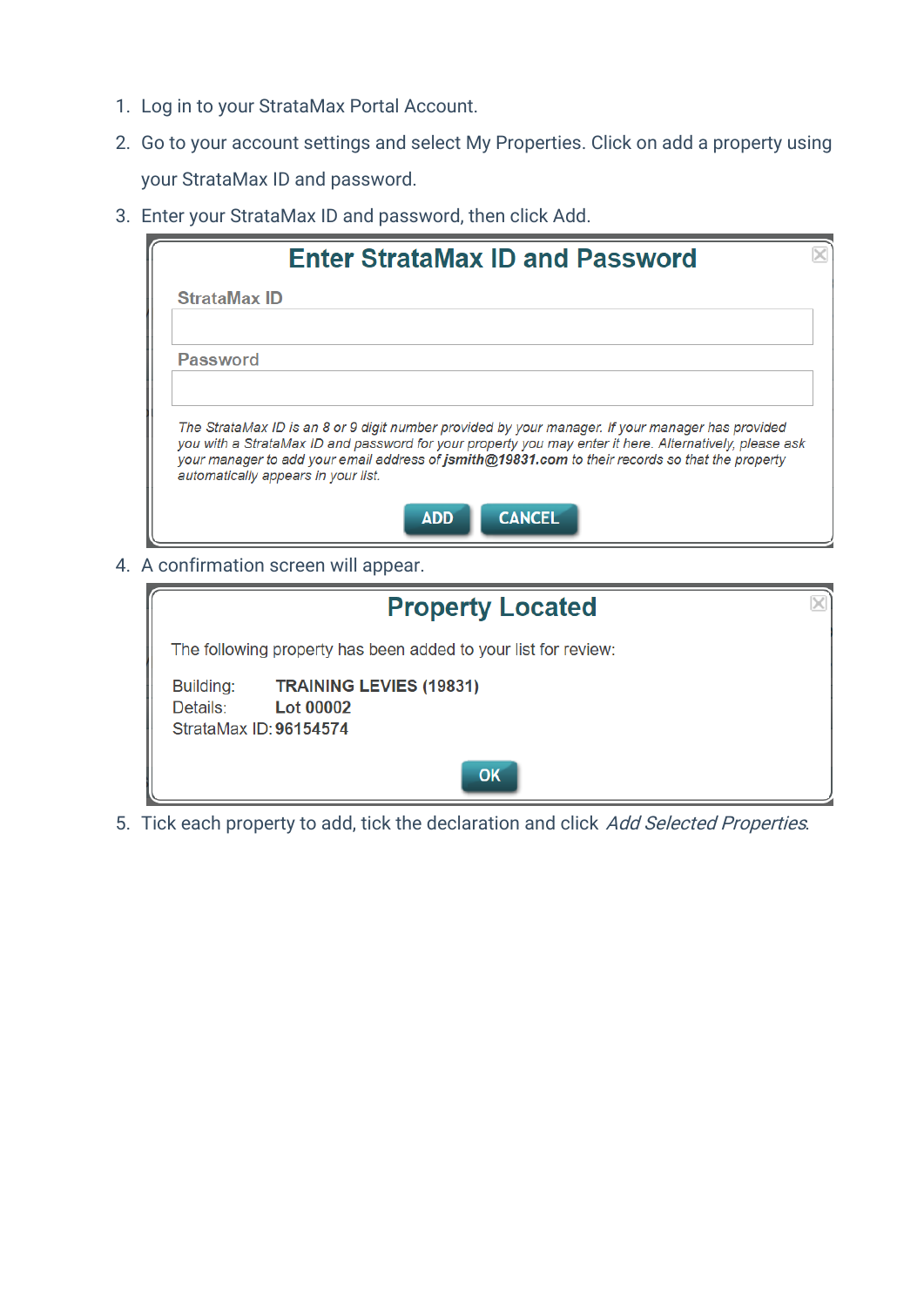- 1. Log in to your StrataMax Portal Account.
- 2. Go to your account settings and select My Properties. Click on add a property using your StrataMax ID and password.
- 3. Enter your StrataMax ID and password, then click Add.

| <b>Enter StrataMax ID and Password</b>                                                                                                                                                                                                                                                                                                                  |  |
|---------------------------------------------------------------------------------------------------------------------------------------------------------------------------------------------------------------------------------------------------------------------------------------------------------------------------------------------------------|--|
| <b>StrataMax ID</b>                                                                                                                                                                                                                                                                                                                                     |  |
| <b>Password</b>                                                                                                                                                                                                                                                                                                                                         |  |
| The StrataMax ID is an 8 or 9 digit number provided by your manager. If your manager has provided<br>you with a StrataMax ID and password for your property you may enter it here. Alternatively, please ask<br>your manager to add your email address of jsmith@19831.com to their records so that the property<br>automatically appears in your list. |  |
| <b>CANCEL</b><br><b>ADD</b>                                                                                                                                                                                                                                                                                                                             |  |

4. A confirmation screen will appear.

| <b>Property Located</b>                                                                               |  |
|-------------------------------------------------------------------------------------------------------|--|
| The following property has been added to your list for review:                                        |  |
| <b>TRAINING LEVIES (19831)</b><br>Building:<br><b>Lot 00002</b><br>Details:<br>StrataMax ID: 96154574 |  |
| OK                                                                                                    |  |

5. Tick each property to add, tick the declaration and click Add Selected Properties.